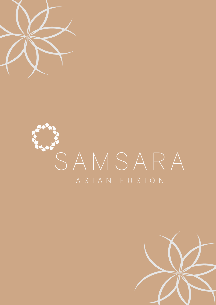

# SAMSARA ASIAN FUSION

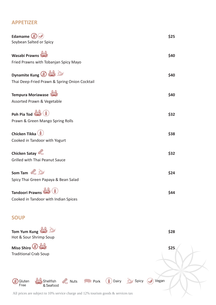## **APPETIZER**

| Edamame (3)                                   | \$25 |
|-----------------------------------------------|------|
| Soybean Salted or Spicy                       |      |
| <b>Wasabi Prawns</b>                          | \$40 |
| Fried Prawns with Tobanjan Spicy Mayo         |      |
| Dynamite Kung (3)                             | \$40 |
| Thai Deep-Fried Prawn & Spring Onion Cocktail |      |
| Tempura Moriawase                             | \$40 |
| Assorted Prawn & Vegetable                    |      |
| Poh Pia Tod                                   | \$32 |
| Prawn & Green Mango Spring Rolls              |      |
| Chicken Tikka                                 | \$38 |
| Cooked in Tandoor with Yogurt                 |      |
| Chicken Satay                                 | \$32 |
| Grilled with Thai Peanut Sauce                |      |
| Som Tam                                       | \$24 |
| Spicy Thai Green Papaya & Bean Salad          |      |
| Tandoori Prawns                               | \$44 |
| Cooked in Tandoor with Indian Spices          |      |

# **SOUP**

| Tom Yum Kung<br>Hot & Sour Shrimp Soup                                               | \$28                               |
|--------------------------------------------------------------------------------------|------------------------------------|
| Miso Shiro <sup>③ 《</sup> 》<br><b>Traditional Crab Soup</b>                          | \$25                               |
|                                                                                      |                                    |
| Nuts <b>Pork</b><br>Shellfish<br>Gluten<br>્રકે<br>& Seafood<br>Free                 | $\bigcirc$ Dairy<br>Spicy<br>Vegan |
| All prices are subject to 10% service charge and 12% tourism goods $\&$ services tax |                                    |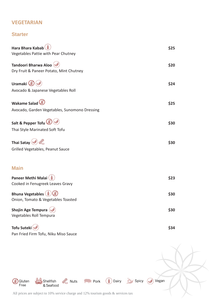## **VEGETARIAN**

Pan Fried Firm Tofu, Niku Miso Sauce

#### **Starter**

| Hara Bhara Kabab<br>Vegetables Pattie with Pear Chutney | \$25 |
|---------------------------------------------------------|------|
| Tandoori Bharwa Aloo                                    | \$20 |
| Dry Fruit & Paneer Potato, Mint Chutney                 |      |
| Uramaki <sup>(3</sup>                                   | \$24 |
| Avocado & Japanese Vegetables Roll                      |      |
| Wakame Salad                                            | \$25 |
| Avocado, Garden Vegetables, Sunomono Dressing           |      |
| Salt & Pepper Tofu                                      | \$30 |
| Thai Style Marinated Soft Tofu                          |      |
| Thai Satay $\Diamond$                                   | \$30 |
| Grilled Vegetables, Peanut Sauce                        |      |
|                                                         |      |
| <b>Main</b>                                             |      |
| Paneer Methi Malai<br>Cooked in Fenugreek Leaves Gravy  | \$23 |
| <b>Bhuna Vegetables</b>                                 | \$30 |
| Onion, Tomato & Vegetables Toasted                      |      |
| <b>Shojin Age Tempura</b><br>Vegetables Roll Tempura    | \$30 |
| Tofu Suteki                                             | \$34 |

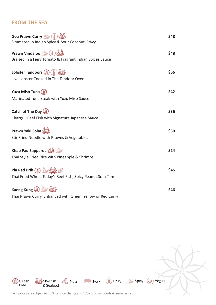### **FROM THE SEA**

| Goa Prawn Curry (A)<br>Simmered in Indian Spicy & Sour Coconut Gravy         | \$48 |
|------------------------------------------------------------------------------|------|
| Prawn Vindaloo<br>Braised in a Fiery Tomato & Fragrant Indian Spices Sauce   | \$48 |
| Lobster Tandoori (3) (1)<br>Live Lobster Cooked in The Tandoor Oven          | \$66 |
| Yuzu Miso Tuna (3)<br>Marinated Tuna Steak with Yuzu Miso Sauce              | \$42 |
| Catch of The Day (3)<br>Chargrill Reef Fish with Signature Japanese Sauce    | \$36 |
| Prawn Yaki Soba<br>Stir Fried Noodle with Prawns & Vegetables                | \$30 |
| Khao Pad Sapparot<br>Thai Style Fried Rice with Pineapple & Shrimps          | \$24 |
| Pla Rad Prik (2)<br>Thai Fried Whole Today's Reef Fish, Spicy Peanut Som Tam | \$45 |
| Kaeng Kung (3)<br>Thai Prawn Curry, Enhanced with Green, Yellow or Red Curry | \$46 |

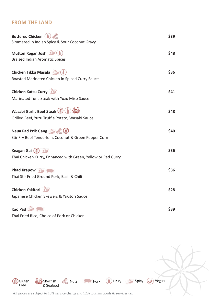### **FROM THE LAND**

| <b>Buttered Chicken (1)</b><br>Simmered in Indian Spicy & Sour Coconut Gravy               | \$39 |
|--------------------------------------------------------------------------------------------|------|
| <b>Mutton Rogan Josh</b><br><b>Braised Indian Aromatic Spices</b>                          | \$48 |
| <b>Chicken Tikka Masala</b> (A)<br>Roasted Marinated Chicken in Spiced Curry Sauce         | \$36 |
| <b>Chicken Katsu Curry</b><br>Marinated Tuna Steak with Yuzu Miso Sauce                    | \$41 |
| <b>Wasabi Garlic Beef Steak (8) (1)</b><br>Grilled Beef, Yuzu Truffle Potato, Wasabi Sauce | \$48 |
| Neua Pad Prik Gang<br>Stir Fry Beef Tenderloin, Coconut & Green Pepper Corn                | \$40 |
| Keagan Gai (3)<br>Thai Chicken Curry, Enhanced with Green, Yellow or Red Curry             | \$36 |
| Phad Krapow<br>Thai Stir Fried Ground Pork, Basil & Chili                                  | \$36 |
| Chicken Yakitori<br>Japanese Chicken Skewers & Yakitori Sauce                              | \$28 |
| Kao Pad<br>Thai Fried Rice, Choice of Pork or Chicken                                      | \$39 |

Shellfish<br>& Seafood  $\mathcal{R}_{\mathsf{S}}$  Nuts **Pork** Dairy Spicy Vegan Gibson<br>Free All prices are subject to 10% service charge and 12% tourism goods & services tax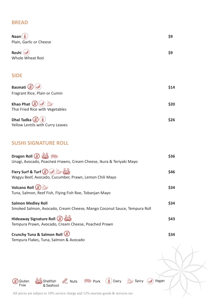#### **BREAD**

| <b>Naan</b><br>Plain, Garlic or Cheese             | \$9  |
|----------------------------------------------------|------|
| Roshi<br>Whole Wheat Roti                          | \$9  |
| <b>SIDE</b>                                        |      |
| Basmati (<br>Fragrant Rice, Plain or Cumin         | \$14 |
| Khao Phat (3)<br>Thai Fried Rice with Vegetables   | \$20 |
| Dhal Tadka (g)<br>Yellow Lentils with Curry Leaves | \$26 |

### **SUSHI SIGNATURE ROLL**

| Dragon Roll (3)<br>Unagi, Avocado, Poached Prawns, Cream Cheese, Ikura & Teriyaki Mayo               | \$36 |
|------------------------------------------------------------------------------------------------------|------|
| Fiery Surf & Turf (3)<br>Wagyu Beef, Avocado, Cucumber, Prawn, Lemon Chili Mayo                      | \$46 |
| Volcano Roll (2)<br>Tuna, Salmon, Reef Fish, Flying Fish Roe, Tobanjan Mayo                          | \$34 |
| <b>Salmon Medley Roll</b><br>Smoked Salmon, Avocado, Cream Cheese, Mango Coconut Sauce, Tempura Roll | \$34 |
| Hideaway Signature Roll (3)<br>Tempura Prawn, Avocado, Cream Cheese, Poached Prawn                   | \$43 |
| Crunchy Tuna & Salmon Roll (3)                                                                       | S34  |

Spicy Vegan

Tempura Flakes, Tuna, Salmon & Avocado

Gibs Gluten

Shellfish<br>& Seafood **Pork** Dairy  $\mathcal{R}$  Nuts

All prices are subject to 10% service charge and 12% tourism goods & services tax